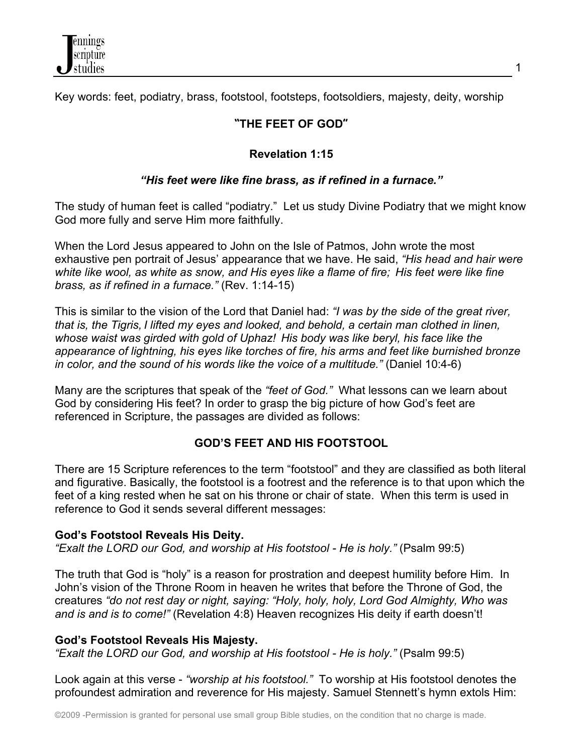

Key words: feet, podiatry, brass, footstool, footsteps, footsoldiers, majesty, deity, worship

# **"THE FEET OF GOD"**

# **Revelation 1:15**

# *"His feet were like fine brass, as if refined in a furnace."*

The study of human feet is called "podiatry." Let us study Divine Podiatry that we might know God more fully and serve Him more faithfully.

When the Lord Jesus appeared to John on the Isle of Patmos, John wrote the most exhaustive pen portrait of Jesus' appearance that we have. He said, *"His head and hair were white like wool, as white as snow, and His eyes like a flame of fire; His feet were like fine brass, as if refined in a furnace."* (Rev. 1:14-15)

This is similar to the vision of the Lord that Daniel had: *"I was by the side of the great river, that is, the Tigris, I lifted my eyes and looked, and behold, a certain man clothed in linen, whose waist was girded with gold of Uphaz! His body was like beryl, his face like the appearance of lightning, his eyes like torches of fire, his arms and feet like burnished bronze in color, and the sound of his words like the voice of a multitude."* (Daniel 10:4-6)

Many are the scriptures that speak of the *"feet of God."* What lessons can we learn about God by considering His feet? In order to grasp the big picture of how God's feet are referenced in Scripture, the passages are divided as follows:

## **GOD'S FEET AND HIS FOOTSTOOL**

There are 15 Scripture references to the term "footstool" and they are classified as both literal and figurative. Basically, the footstool is a footrest and the reference is to that upon which the feet of a king rested when he sat on his throne or chair of state. When this term is used in reference to God it sends several different messages:

### **God's Footstool Reveals His Deity.**

*"Exalt the LORD our God, and worship at His footstool - He is holy."* (Psalm 99:5)

The truth that God is "holy" is a reason for prostration and deepest humility before Him. In John's vision of the Throne Room in heaven he writes that before the Throne of God, the creatures *"do not rest day or night, saying: "Holy, holy, holy, Lord God Almighty, Who was and is and is to come!"* (Revelation 4:8) Heaven recognizes His deity if earth doesn't!

## **God's Footstool Reveals His Majesty.**

*"Exalt the LORD our God, and worship at His footstool - He is holy."* (Psalm 99:5)

Look again at this verse - *"worship at his footstool."* To worship at His footstool denotes the profoundest admiration and reverence for His majesty. Samuel Stennett's hymn extols Him: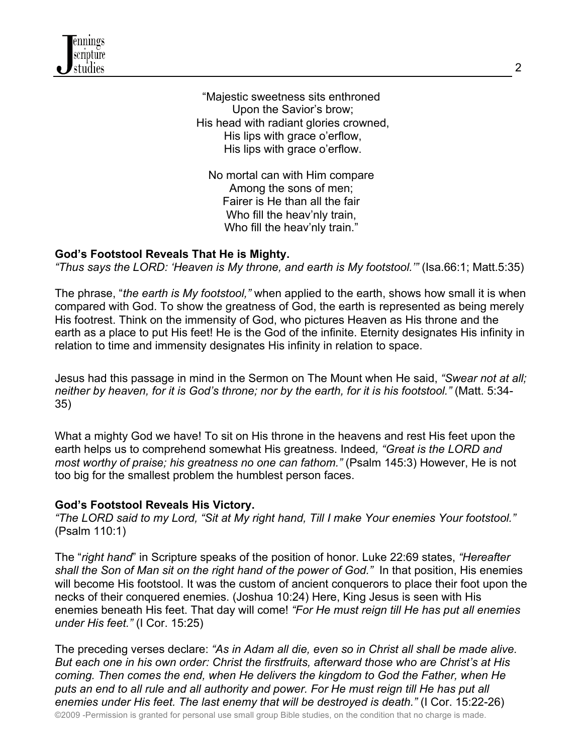"Majestic sweetness sits enthroned Upon the Savior's brow; His head with radiant glories crowned, His lips with grace o'erflow, His lips with grace o'erflow.

No mortal can with Him compare Among the sons of men; Fairer is He than all the fair Who fill the heav'nly train, Who fill the heav'nly train."

## **God's Footstool Reveals That He is Mighty.**

*"Thus says the LORD: 'Heaven is My throne, and earth is My footstool.'"* (Isa.66:1; Matt.5:35)

The phrase, "*the earth is My footstool,"* when applied to the earth, shows how small it is when compared with God. To show the greatness of God, the earth is represented as being merely His footrest. Think on the immensity of God, who pictures Heaven as His throne and the earth as a place to put His feet! He is the God of the infinite. Eternity designates His infinity in relation to time and immensity designates His infinity in relation to space.

Jesus had this passage in mind in the Sermon on The Mount when He said, *"Swear not at all; neither by heaven, for it is God's throne; nor by the earth, for it is his footstool."* (Matt. 5:34- 35)

What a mighty God we have! To sit on His throne in the heavens and rest His feet upon the earth helps us to comprehend somewhat His greatness. Indeed*, "Great is the LORD and most worthy of praise; his greatness no one can fathom."* (Psalm 145:3) However, He is not too big for the smallest problem the humblest person faces.

### **God's Footstool Reveals His Victory.**

*"The LORD said to my Lord, "Sit at My right hand, Till I make Your enemies Your footstool."* (Psalm 110:1)

The "*right hand*" in Scripture speaks of the position of honor. Luke 22:69 states, *"Hereafter shall the Son of Man sit on the right hand of the power of God."* In that position, His enemies will become His footstool. It was the custom of ancient conquerors to place their foot upon the necks of their conquered enemies. (Joshua 10:24) Here, King Jesus is seen with His enemies beneath His feet. That day will come! *"For He must reign till He has put all enemies under His feet."* (I Cor. 15:25)

The preceding verses declare: *"As in Adam all die, even so in Christ all shall be made alive. But each one in his own order: Christ the firstfruits, afterward those who are Christ's at His coming. Then comes the end, when He delivers the kingdom to God the Father, when He puts an end to all rule and all authority and power. For He must reign till He has put all enemies under His feet. The last enemy that will be destroyed is death."* (I Cor. 15:22-26)

©2009 -Permission is granted for personal use small group Bible studies, on the condition that no charge is made.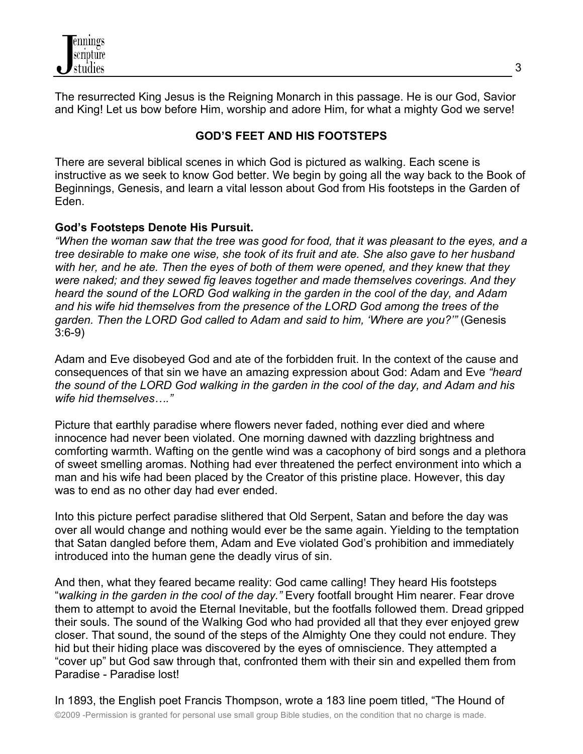The resurrected King Jesus is the Reigning Monarch in this passage. He is our God, Savior and King! Let us bow before Him, worship and adore Him, for what a mighty God we serve!

# **GOD'S FEET AND HIS FOOTSTEPS**

There are several biblical scenes in which God is pictured as walking. Each scene is instructive as we seek to know God better. We begin by going all the way back to the Book of Beginnings, Genesis, and learn a vital lesson about God from His footsteps in the Garden of Eden.

# **God's Footsteps Denote His Pursuit.**

*"When the woman saw that the tree was good for food, that it was pleasant to the eyes, and a tree desirable to make one wise, she took of its fruit and ate. She also gave to her husband with her, and he ate. Then the eyes of both of them were opened, and they knew that they were naked; and they sewed fig leaves together and made themselves coverings. And they heard the sound of the LORD God walking in the garden in the cool of the day, and Adam and his wife hid themselves from the presence of the LORD God among the trees of the garden. Then the LORD God called to Adam and said to him, 'Where are you?'"* (Genesis 3:6-9)

Adam and Eve disobeyed God and ate of the forbidden fruit. In the context of the cause and consequences of that sin we have an amazing expression about God: Adam and Eve *"heard the sound of the LORD God walking in the garden in the cool of the day, and Adam and his wife hid themselves…."*

Picture that earthly paradise where flowers never faded, nothing ever died and where innocence had never been violated. One morning dawned with dazzling brightness and comforting warmth. Wafting on the gentle wind was a cacophony of bird songs and a plethora of sweet smelling aromas. Nothing had ever threatened the perfect environment into which a man and his wife had been placed by the Creator of this pristine place. However, this day was to end as no other day had ever ended.

Into this picture perfect paradise slithered that Old Serpent, Satan and before the day was over all would change and nothing would ever be the same again. Yielding to the temptation that Satan dangled before them, Adam and Eve violated God's prohibition and immediately introduced into the human gene the deadly virus of sin.

And then, what they feared became reality: God came calling! They heard His footsteps "*walking in the garden in the cool of the day."* Every footfall brought Him nearer. Fear drove them to attempt to avoid the Eternal Inevitable, but the footfalls followed them. Dread gripped their souls. The sound of the Walking God who had provided all that they ever enjoyed grew closer. That sound, the sound of the steps of the Almighty One they could not endure. They hid but their hiding place was discovered by the eyes of omniscience. They attempted a "cover up" but God saw through that, confronted them with their sin and expelled them from Paradise - Paradise lost!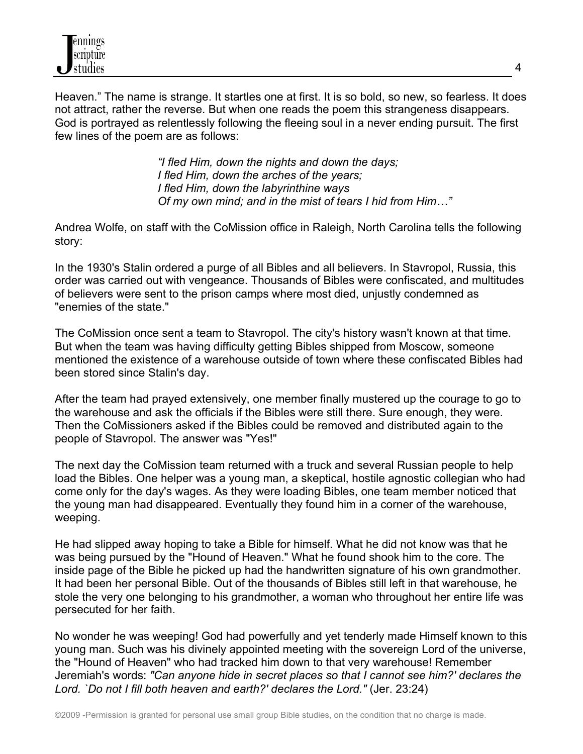

Heaven." The name is strange. It startles one at first. It is so bold, so new, so fearless. It does not attract, rather the reverse. But when one reads the poem this strangeness disappears. God is portrayed as relentlessly following the fleeing soul in a never ending pursuit. The first few lines of the poem are as follows:

> *"I fled Him, down the nights and down the days; I fled Him, down the arches of the years; I fled Him, down the labyrinthine ways Of my own mind; and in the mist of tears I hid from Him…"*

Andrea Wolfe, on staff with the CoMission office in Raleigh, North Carolina tells the following story:

In the 1930's Stalin ordered a purge of all Bibles and all believers. In Stavropol, Russia, this order was carried out with vengeance. Thousands of Bibles were confiscated, and multitudes of believers were sent to the prison camps where most died, unjustly condemned as "enemies of the state."

The CoMission once sent a team to Stavropol. The city's history wasn't known at that time. But when the team was having difficulty getting Bibles shipped from Moscow, someone mentioned the existence of a warehouse outside of town where these confiscated Bibles had been stored since Stalin's day.

After the team had prayed extensively, one member finally mustered up the courage to go to the warehouse and ask the officials if the Bibles were still there. Sure enough, they were. Then the CoMissioners asked if the Bibles could be removed and distributed again to the people of Stavropol. The answer was "Yes!"

The next day the CoMission team returned with a truck and several Russian people to help load the Bibles. One helper was a young man, a skeptical, hostile agnostic collegian who had come only for the day's wages. As they were loading Bibles, one team member noticed that the young man had disappeared. Eventually they found him in a corner of the warehouse, weeping.

He had slipped away hoping to take a Bible for himself. What he did not know was that he was being pursued by the "Hound of Heaven." What he found shook him to the core. The inside page of the Bible he picked up had the handwritten signature of his own grandmother. It had been her personal Bible. Out of the thousands of Bibles still left in that warehouse, he stole the very one belonging to his grandmother, a woman who throughout her entire life was persecuted for her faith.

No wonder he was weeping! God had powerfully and yet tenderly made Himself known to this young man. Such was his divinely appointed meeting with the sovereign Lord of the universe, the "Hound of Heaven" who had tracked him down to that very warehouse! Remember Jeremiah's words: *"Can anyone hide in secret places so that I cannot see him?' declares the Lord. `Do not I fill both heaven and earth?' declares the Lord."* (Jer. 23:24)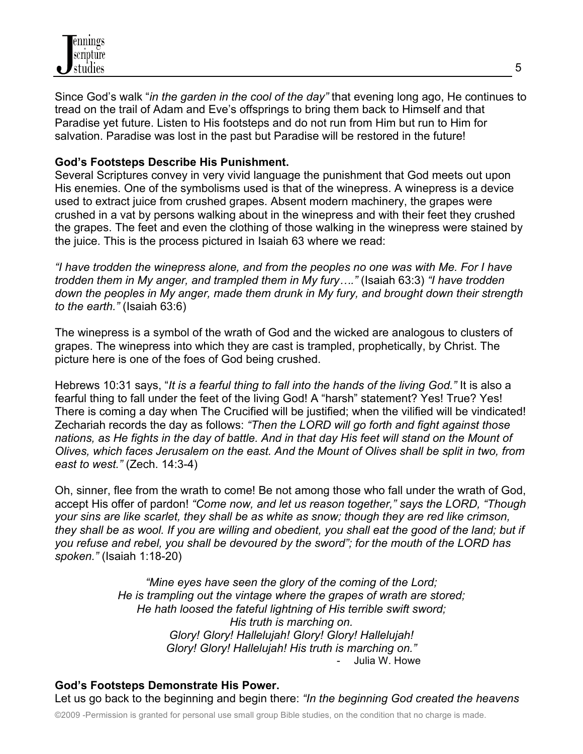

Since God's walk "*in the garden in the cool of the day"* that evening long ago, He continues to tread on the trail of Adam and Eve's offsprings to bring them back to Himself and that Paradise yet future. Listen to His footsteps and do not run from Him but run to Him for salvation. Paradise was lost in the past but Paradise will be restored in the future!

## **God's Footsteps Describe His Punishment.**

Several Scriptures convey in very vivid language the punishment that God meets out upon His enemies. One of the symbolisms used is that of the winepress. A winepress is a device used to extract juice from crushed grapes. Absent modern machinery, the grapes were crushed in a vat by persons walking about in the winepress and with their feet they crushed the grapes. The feet and even the clothing of those walking in the winepress were stained by the juice. This is the process pictured in Isaiah 63 where we read:

*"I have trodden the winepress alone, and from the peoples no one was with Me. For I have trodden them in My anger, and trampled them in My fury…."* (Isaiah 63:3) *"I have trodden down the peoples in My anger, made them drunk in My fury, and brought down their strength to the earth."* (Isaiah 63:6)

The winepress is a symbol of the wrath of God and the wicked are analogous to clusters of grapes. The winepress into which they are cast is trampled, prophetically, by Christ. The picture here is one of the foes of God being crushed.

Hebrews 10:31 says, "*It is a fearful thing to fall into the hands of the living God."* It is also a fearful thing to fall under the feet of the living God! A "harsh" statement? Yes! True? Yes! There is coming a day when The Crucified will be justified; when the vilified will be vindicated! Zechariah records the day as follows: *"Then the LORD will go forth and fight against those nations, as He fights in the day of battle. And in that day His feet will stand on the Mount of Olives, which faces Jerusalem on the east. And the Mount of Olives shall be split in two, from east to west."* (Zech. 14:3-4)

Oh, sinner, flee from the wrath to come! Be not among those who fall under the wrath of God, accept His offer of pardon! *"Come now, and let us reason together," says the LORD, "Though your sins are like scarlet, they shall be as white as snow; though they are red like crimson, they shall be as wool. If you are willing and obedient, you shall eat the good of the land; but if you refuse and rebel, you shall be devoured by the sword"; for the mouth of the LORD has spoken."* (Isaiah 1:18-20)

> *"Mine eyes have seen the glory of the coming of the Lord; He is trampling out the vintage where the grapes of wrath are stored; He hath loosed the fateful lightning of His terrible swift sword; His truth is marching on. Glory! Glory! Hallelujah! Glory! Glory! Hallelujah! Glory! Glory! Hallelujah! His truth is marching on."* Julia W. Howe

**God's Footsteps Demonstrate His Power.** Let us go back to the beginning and begin there: *"In the beginning God created the heavens*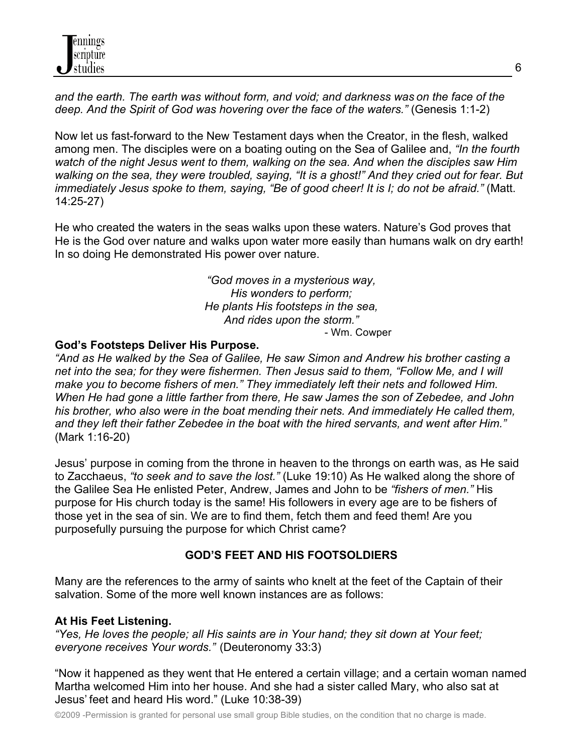*and the earth. The earth was without form, and void; and darkness was on the face of the deep. And the Spirit of God was hovering over the face of the waters."* (Genesis 1:1-2)

Now let us fast-forward to the New Testament days when the Creator, in the flesh, walked among men. The disciples were on a boating outing on the Sea of Galilee and, *"In the fourth watch of the night Jesus went to them, walking on the sea. And when the disciples saw Him walking on the sea, they were troubled, saying, "It is a ghost!" And they cried out for fear. But immediately Jesus spoke to them, saying, "Be of good cheer! It is I; do not be afraid."* (Matt. 14:25-27)

He who created the waters in the seas walks upon these waters. Nature's God proves that He is the God over nature and walks upon water more easily than humans walk on dry earth! In so doing He demonstrated His power over nature.

> *"God moves in a mysterious way, His wonders to perform; He plants His footsteps in the sea, And rides upon the storm."* - Wm. Cowper

## **God's Footsteps Deliver His Purpose.**

*"And as He walked by the Sea of Galilee, He saw Simon and Andrew his brother casting a net into the sea; for they were fishermen. Then Jesus said to them, "Follow Me, and I will make you to become fishers of men." They immediately left their nets and followed Him. When He had gone a little farther from there, He saw James the son of Zebedee, and John his brother, who also were in the boat mending their nets. And immediately He called them, and they left their father Zebedee in the boat with the hired servants, and went after Him."* (Mark 1:16-20)

Jesus' purpose in coming from the throne in heaven to the throngs on earth was, as He said to Zacchaeus, *"to seek and to save the lost."* (Luke 19:10) As He walked along the shore of the Galilee Sea He enlisted Peter, Andrew, James and John to be *"fishers of men."* His purpose for His church today is the same! His followers in every age are to be fishers of those yet in the sea of sin. We are to find them, fetch them and feed them! Are you purposefully pursuing the purpose for which Christ came?

# **GOD'S FEET AND HIS FOOTSOLDIERS**

Many are the references to the army of saints who knelt at the feet of the Captain of their salvation. Some of the more well known instances are as follows:

## **At His Feet Listening.**

*"Yes, He loves the people; all His saints are in Your hand; they sit down at Your feet; everyone receives Your words."* (Deuteronomy 33:3)

"Now it happened as they went that He entered a certain village; and a certain woman named Martha welcomed Him into her house. And she had a sister called Mary, who also sat at Jesus' feet and heard His word." (Luke 10:38-39)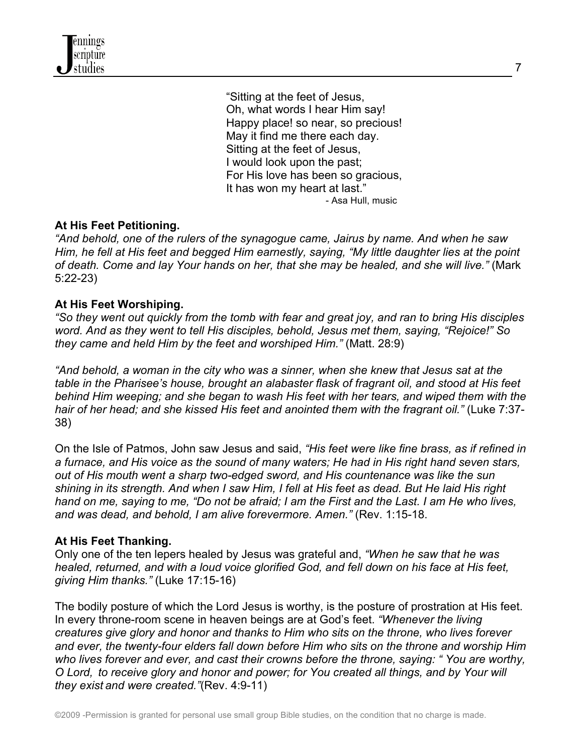"Sitting at the feet of Jesus, Oh, what words I hear Him say! Happy place! so near, so precious! May it find me there each day. Sitting at the feet of Jesus, I would look upon the past; For His love has been so gracious, It has won my heart at last." - Asa Hull, music

### **At His Feet Petitioning.**

*"And behold, one of the rulers of the synagogue came, Jairus by name. And when he saw Him, he fell at His feet and begged Him earnestly, saying, "My little daughter lies at the point of death. Come and lay Your hands on her, that she may be healed, and she will live."* (Mark 5:22-23)

#### **At His Feet Worshiping.**

*"So they went out quickly from the tomb with fear and great joy, and ran to bring His disciples word. And as they went to tell His disciples, behold, Jesus met them, saying, "Rejoice!" So they came and held Him by the feet and worshiped Him."* (Matt. 28:9)

*"And behold, a woman in the city who was a sinner, when she knew that Jesus sat at the table in the Pharisee's house, brought an alabaster flask of fragrant oil, and stood at His feet behind Him weeping; and she began to wash His feet with her tears, and wiped them with the hair of her head; and she kissed His feet and anointed them with the fragrant oil."* (Luke 7:37- 38)

On the Isle of Patmos, John saw Jesus and said, *"His feet were like fine brass, as if refined in a furnace, and His voice as the sound of many waters; He had in His right hand seven stars, out of His mouth went a sharp two-edged sword, and His countenance was like the sun shining in its strength. And when I saw Him, I fell at His feet as dead. But He laid His right hand on me, saying to me, "Do not be afraid; I am the First and the Last. I am He who lives, and was dead, and behold, I am alive forevermore. Amen."* (Rev. 1:15-18.

#### **At His Feet Thanking.**

Only one of the ten lepers healed by Jesus was grateful and, *"When he saw that he was healed, returned, and with a loud voice glorified God, and fell down on his face at His feet, giving Him thanks."* (Luke 17:15-16)

The bodily posture of which the Lord Jesus is worthy, is the posture of prostration at His feet. In every throne-room scene in heaven beings are at God's feet. *"Whenever the living creatures give glory and honor and thanks to Him who sits on the throne, who lives forever and ever, the twenty-four elders fall down before Him who sits on the throne and worship Him who lives forever and ever, and cast their crowns before the throne, saying: " You are worthy, O Lord, to receive glory and honor and power; for You created all things, and by Your will they exist and were created."*(Rev. 4:9-11)